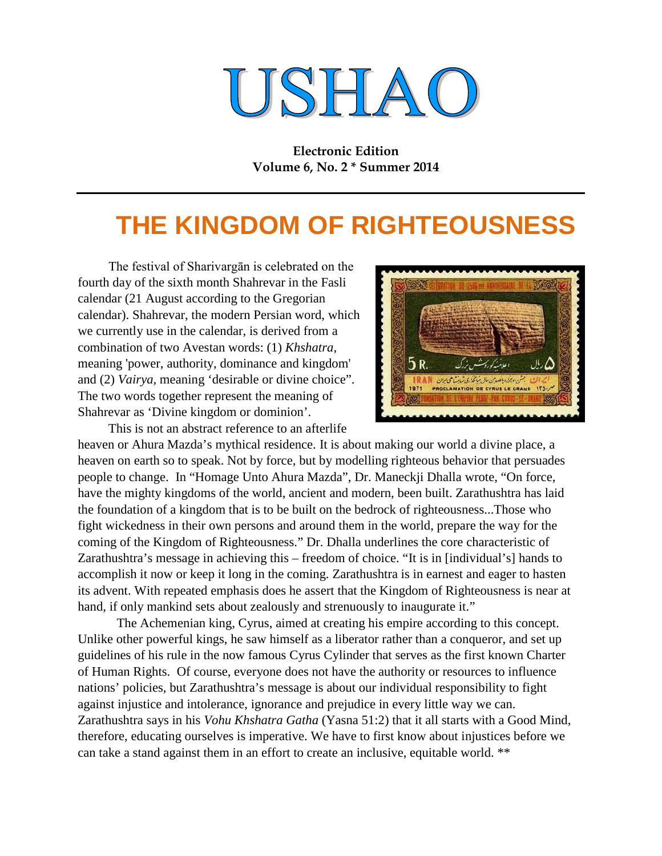# USHAO

**Electronic Edition Volume 6, No. 2 \* Summer 2014**

## **THE KINGDOM OF RIGHTEOUSNESS**

The festival of Sharivargān is celebrated on the fourth day of the sixth month Shahrevar in the Fasli calendar (21 August according to the Gregorian calendar). Shahrevar, the modern Persian word, which we currently use in the calendar, is derived from a combination of two Avestan words: (1) *Khshatra*, meaning 'power, authority, dominance and kingdom' and (2) *Vairya,* meaning 'desirable or divine choice". The two words together represent the meaning of Shahrevar as 'Divine kingdom or dominion'.

This is not an abstract reference to an afterlife



heaven or Ahura Mazda's mythical residence. It is about making our world a divine place, a heaven on earth so to speak. Not by force, but by modelling righteous behavior that persuades people to change. In "Homage Unto Ahura Mazda", Dr. Maneckji Dhalla wrote, "On force, have the mighty kingdoms of the world, ancient and modern, been built. Zarathushtra has laid the foundation of a kingdom that is to be built on the bedrock of righteousness...Those who fight wickedness in their own persons and around them in the world, prepare the way for the coming of the Kingdom of Righteousness." Dr. Dhalla underlines the core characteristic of Zarathushtra's message in achieving this – freedom of choice. "It is in [individual's] hands to accomplish it now or keep it long in the coming. Zarathushtra is in earnest and eager to hasten its advent. With repeated emphasis does he assert that the Kingdom of Righteousness is near at hand, if only mankind sets about zealously and strenuously to inaugurate it."

The Achemenian king, Cyrus, aimed at creating his empire according to this concept. Unlike other powerful kings, he saw himself as a liberator rather than a conqueror, and set up guidelines of his rule in the now famous Cyrus Cylinder that serves as the first known Charter of Human Rights. Of course, everyone does not have the authority or resources to influence nations' policies, but Zarathushtra's message is about our individual responsibility to fight against injustice and intolerance, ignorance and prejudice in every little way we can. Zarathushtra says in his *Vohu Khshatra Gatha* (Yasna 51:2) that it all starts with a Good Mind, therefore, educating ourselves is imperative. We have to first know about injustices before we can take a stand against them in an effort to create an inclusive, equitable world. \*\*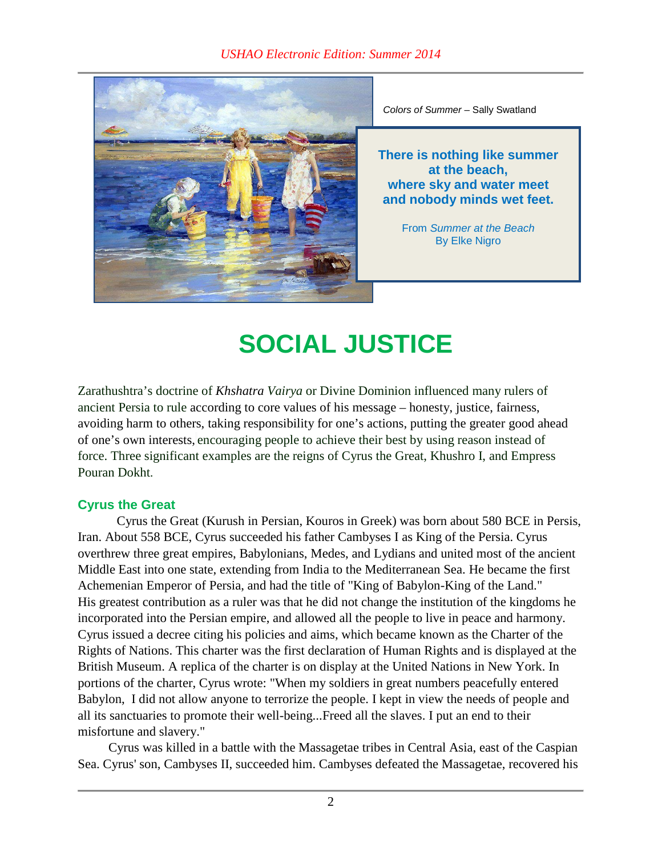

*Colors of Summer* – Sally Swatland

**There is nothing like summer at the beach, where sky and water meet and nobody minds wet feet.**

> From *Summer at the Beach* By Elke Nigro

# **SOCIAL JUSTICE**

Zarathushtra's doctrine of *Khshatra Vairya* or Divine Dominion influenced many rulers of ancient Persia to rule according to core values of his message – honesty, justice, fairness, avoiding harm to others, taking responsibility for one's actions, putting the greater good ahead of one's own interests, encouraging people to achieve their best by using reason instead of force. Three significant examples are the reigns of Cyrus the Great, Khushro I, and Empress Pouran Dokht.

#### **Cyrus the Great**

Cyrus the Great (Kurush in Persian, Kouros in Greek) was born about 580 BCE in Persis, Iran. About 558 BCE, Cyrus succeeded his father Cambyses I as King of the Persia. Cyrus overthrew three great empires, Babylonians, Medes, and Lydians and united most of the ancient Middle East into one state, extending from India to the Mediterranean Sea. He became the first Achemenian Emperor of Persia, and had the title of "King of Babylon-King of the Land." His greatest contribution as a ruler was that he did not change the institution of the kingdoms he incorporated into the Persian empire, and allowed all the people to live in peace and harmony. Cyrus issued a decree citing his policies and aims, which became known as the Charter of the Rights of Nations. This charter was the first declaration of Human Rights and is displayed at the British Museum. A replica of the charter is on display at the United Nations in New York. In portions of the charter, Cyrus wrote: "When my soldiers in great numbers peacefully entered Babylon, I did not allow anyone to terrorize the people. I kept in view the needs of people and all its sanctuaries to promote their well-being...Freed all the slaves. I put an end to their misfortune and slavery."

Cyrus was killed in a battle with the Massagetae tribes in Central Asia, east of the Caspian Sea. Cyrus' son, Cambyses II, succeeded him. Cambyses defeated the Massagetae, recovered his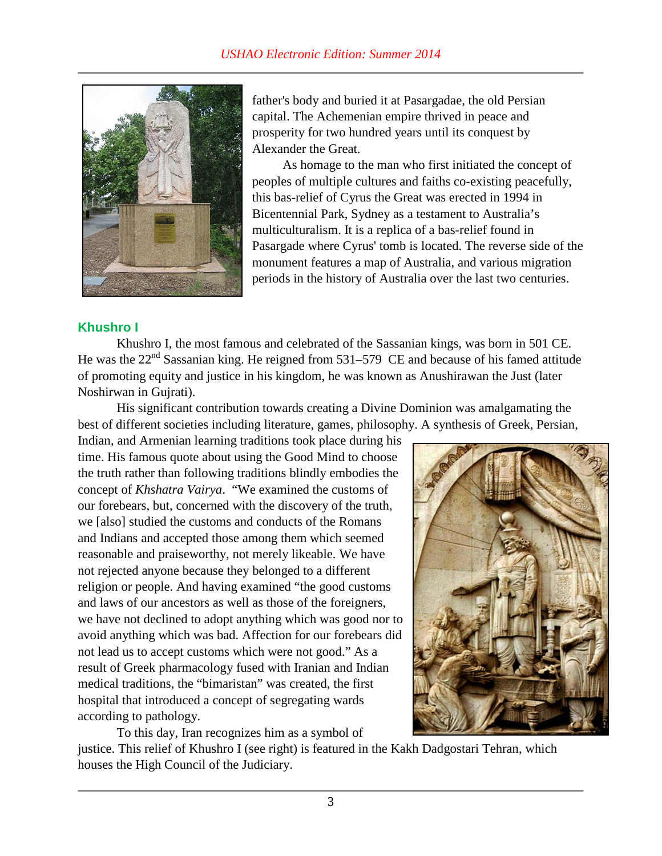

father's body and buried it at Pasargadae, the old Persian capital. The Achemenian empire thrived in peace and prosperity for two hundred years until its conquest by Alexander the Great.

As homage to the man who first initiated the concept of peoples of multiple cultures and faiths co-existing peacefully, this bas-relief of Cyrus the Great was erected in 1994 in Bicentennial Park, Sydney as a testament to Australia's multiculturalism. It is a replica of a bas-relief found in Pasargade where Cyrus' tomb is located. The reverse side of the monument features a map of Australia, and various migration periods in the history of Australia over the last two centuries.

#### **Khushro I**

Khushro I, the most famous and celebrated of the Sassanian kings, was born in 501 CE. He was the  $22<sup>nd</sup>$  Sassanian king. He reigned from 531–579 CE and because of his famed attitude of promoting equity and justice in his kingdom, he was known as Anushirawan the Just (later Noshirwan in Gujrati).

His significant contribution towards creating a Divine Dominion was amalgamating the best of different societies including literature, games, philosophy. A synthesis of Greek, Persian,

Indian, and Armenian learning traditions took place during his time. His famous quote about using the Good Mind to choose the truth rather than following traditions blindly embodies the concept of *Khshatra Vairya*. "We examined the customs of our forebears, but, concerned with the discovery of the truth, we [also] studied the customs and conducts of the Romans and Indians and accepted those among them which seemed reasonable and praiseworthy, not merely likeable. We have not rejected anyone because they belonged to a different religion or people. And having examined "the good customs and laws of our ancestors as well as those of the foreigners, we have not declined to adopt anything which was good nor to avoid anything which was bad. Affection for our forebears did not lead us to accept customs which were not good." As a result of Greek pharmacology fused with Iranian and Indian medical traditions, the "bimaristan" was created, the first hospital that introduced a concept of segregating wards according to pathology.



To this day, Iran recognizes him as a symbol of

justice. This relief of Khushro I (see right) is featured in the Kakh Dadgostari Tehran, which houses the High Council of the Judiciary.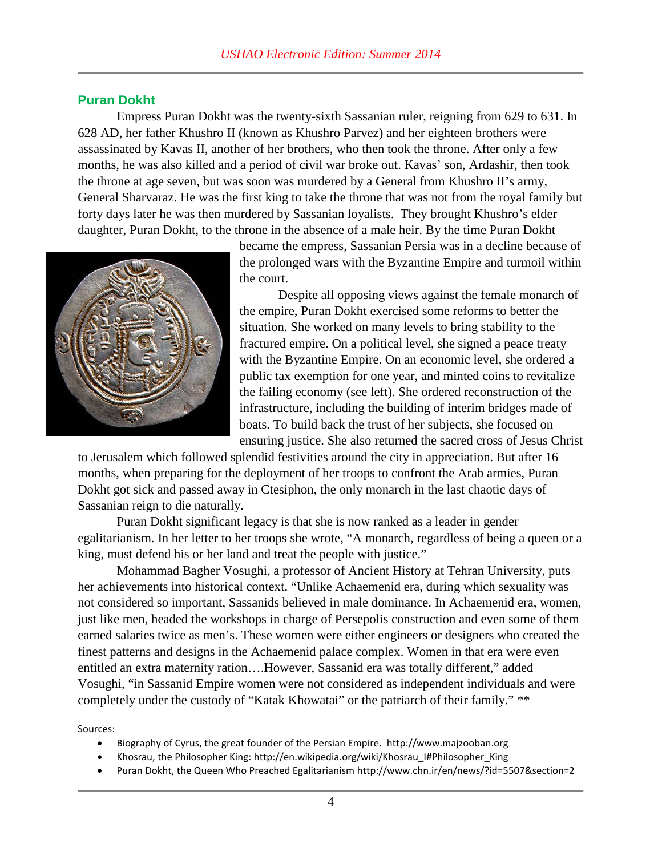#### **Puran Dokht**

Empress Puran Dokht was the twenty-sixth Sassanian ruler, reigning from 629 to 631. In 628 AD, her father Khushro II (known as Khushro Parvez) and her eighteen brothers were assassinated by Kavas II, another of her brothers, who then took the throne. After only a few months, he was also killed and a period of civil war broke out. Kavas' son, Ardashir, then took the throne at age seven, but was soon was murdered by a General from Khushro II's army, General Sharvaraz. He was the first king to take the throne that was not from the royal family but forty days later he was then murdered by Sassanian loyalists. They brought Khushro's elder daughter, Puran Dokht, to the throne in the absence of a male heir. By the time Puran Dokht



became the empress, Sassanian Persia was in a decline because of the prolonged wars with the Byzantine Empire and turmoil within the court.

Despite all opposing views against the female monarch of the empire, Puran Dokht exercised some reforms to better the situation. She worked on many levels to bring stability to the fractured empire. On a political level, she signed a peace treaty with the Byzantine Empire. On an economic level, she ordered a public tax exemption for one year, and minted coins to revitalize the failing economy (see left). She ordered reconstruction of the infrastructure, including the building of interim bridges made of boats. To build back the trust of her subjects, she focused on ensuring justice. She also returned the sacred cross of Jesus Christ

to Jerusalem which followed splendid festivities around the city in appreciation. But after 16 months, when preparing for the deployment of her troops to confront the Arab armies, Puran Dokht got sick and passed away in Ctesiphon, the only monarch in the last chaotic days of Sassanian reign to die naturally.

Puran Dokht significant legacy is that she is now ranked as a leader in gender egalitarianism. In her letter to her troops she wrote, "A monarch, regardless of being a queen or a king, must defend his or her land and treat the people with justice."

Mohammad Bagher Vosughi, a professor of Ancient History at Tehran University, puts her achievements into historical context. "Unlike Achaemenid era, during which sexuality was not considered so important, Sassanids believed in male dominance. In Achaemenid era, women, just like men, headed the workshops in charge of Persepolis construction and even some of them earned salaries twice as men's. These women were either engineers or designers who created the finest patterns and designs in the Achaemenid palace complex. Women in that era were even entitled an extra maternity ration….However, Sassanid era was totally different," added Vosughi, "in Sassanid Empire women were not considered as independent individuals and were completely under the custody of "Katak Khowatai" or the patriarch of their family." \*\*

Sources:

- Biography of Cyrus, the great founder of the Persian Empire. http://www.majzooban.org
- Khosrau, the Philosopher King: http://en.wikipedia.org/wiki/Khosrau\_I#Philosopher\_King
- Puran Dokht, the Queen Who Preached Egalitarianism http://www.chn.ir/en/news/?id=5507&section=2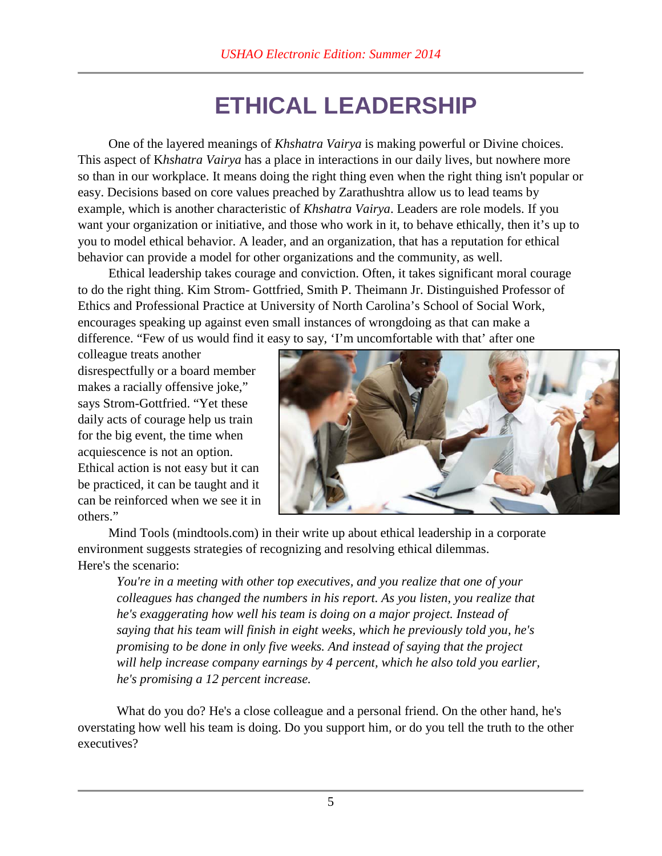### **ETHICAL LEADERSHIP**

One of the layered meanings of *Khshatra Vairya* is making powerful or Divine choices. This aspect of K*hshatra Vairya* has a place in interactions in our daily lives, but nowhere more so than in our workplace. It means doing the right thing even when the right thing isn't popular or easy. Decisions based on core values preached by Zarathushtra allow us to lead teams by example, which is another characteristic of *Khshatra Vairya*. Leaders are role models. If you want your organization or initiative, and those who work in it, to behave ethically, then it's up to you to model ethical behavior. A leader, and an organization, that has a reputation for ethical behavior can provide a model for other organizations and the community, as well.

Ethical leadership takes courage and conviction. Often, it takes significant moral courage to do the right thing. Kim Strom- Gottfried, Smith P. Theimann Jr. Distinguished Professor of Ethics and Professional Practice at University of North Carolina's School of Social Work, encourages speaking up against even small instances of wrongdoing as that can make a difference. "Few of us would find it easy to say, 'I'm uncomfortable with that' after one

colleague treats another disrespectfully or a board member makes a racially offensive joke," says Strom-Gottfried. "Yet these daily acts of courage help us train for the big event, the time when acquiescence is not an option. Ethical action is not easy but it can be practiced, it can be taught and it can be reinforced when we see it in others."



Mind Tools (mindtools.com) in their write up about ethical leadership in a corporate environment suggests strategies of recognizing and resolving ethical dilemmas. Here's the scenario:

*You're in a meeting with other top executives, and you realize that one of your colleagues has changed the numbers in his report. As you listen, you realize that he's exaggerating how well his team is doing on a major project. Instead of saying that his team will finish in eight weeks, which he previously told you, he's promising to be done in only five weeks. And instead of saying that the project will help increase company earnings by 4 percent, which he also told you earlier, he's promising a 12 percent increase.*

What do you do? He's a close colleague and a personal friend. On the other hand, he's overstating how well his team is doing. Do you support him, or do you tell the truth to the other executives?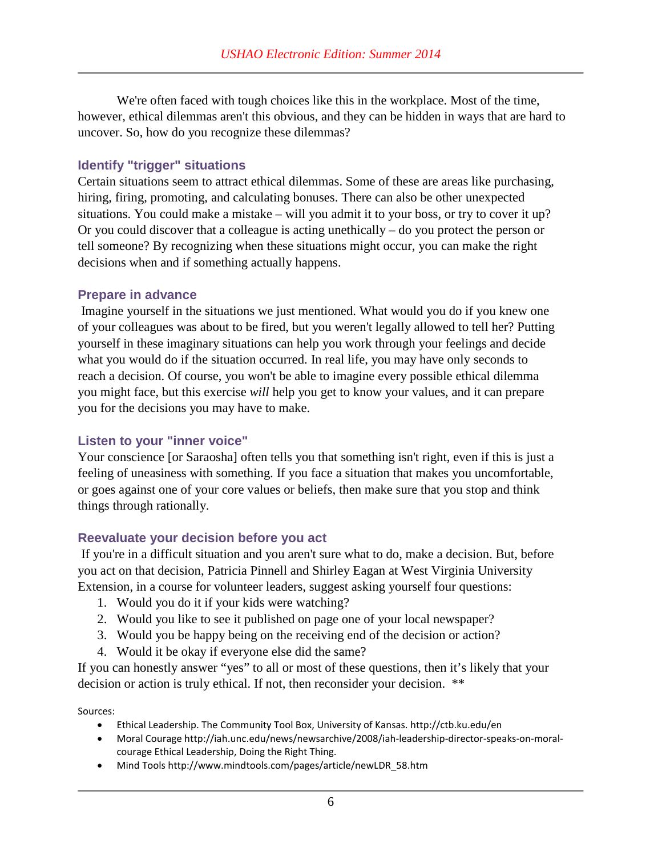We're often faced with tough choices like this in the workplace. Most of the time, however, ethical dilemmas aren't this obvious, and they can be hidden in ways that are hard to uncover. So, how do you recognize these dilemmas?

#### **Identify "trigger" situations**

Certain situations seem to attract ethical dilemmas. Some of these are areas like purchasing, hiring, firing, promoting, and calculating bonuses. There can also be other unexpected situations. You could make a mistake – will you admit it to your boss, or try to cover it up? Or you could discover that a colleague is acting unethically – do you protect the person or tell someone? By recognizing when these situations might occur, you can make the right decisions when and if something actually happens.

#### **Prepare in advance**

Imagine yourself in the situations we just mentioned. What would you do if you knew one of your colleagues was about to be fired, but you weren't legally allowed to tell her? Putting yourself in these imaginary situations can help you work through your feelings and decide what you would do if the situation occurred. In real life, you may have only seconds to reach a decision. Of course, you won't be able to imagine every possible ethical dilemma you might face, but this exercise *will* help you get to know your values, and it can prepare you for the decisions you may have to make.

#### **Listen to your "inner voice"**

Your conscience [or Saraosha] often tells you that something isn't right, even if this is just a feeling of uneasiness with something. If you face a situation that makes you uncomfortable, or goes against one of your core values or beliefs, then make sure that you stop and think things through rationally.

#### **Reevaluate your decision before you act**

If you're in a difficult situation and you aren't sure what to do, make a decision. But, before you act on that decision, Patricia Pinnell and Shirley Eagan at West Virginia University Extension, in a course for volunteer leaders, suggest asking yourself four questions:

- 1. Would you do it if your kids were watching?
- 2. Would you like to see it published on page one of your local newspaper?
- 3. Would you be happy being on the receiving end of the decision or action?
- 4. Would it be okay if everyone else did the same?

If you can honestly answer "yes" to all or most of these questions, then it's likely that your decision or action is truly ethical. If not, then reconsider your decision. \*\*

#### Sources:

- Ethical Leadership. The Community Tool Box, University of Kansas. http://ctb.ku.edu/en
- Moral Courage http://iah.unc.edu/news/newsarchive/2008/iah-leadership-director-speaks-on-moralcourage Ethical Leadership, Doing the Right Thing.
- Mind Tools http://www.mindtools.com/pages/article/newLDR\_58.htm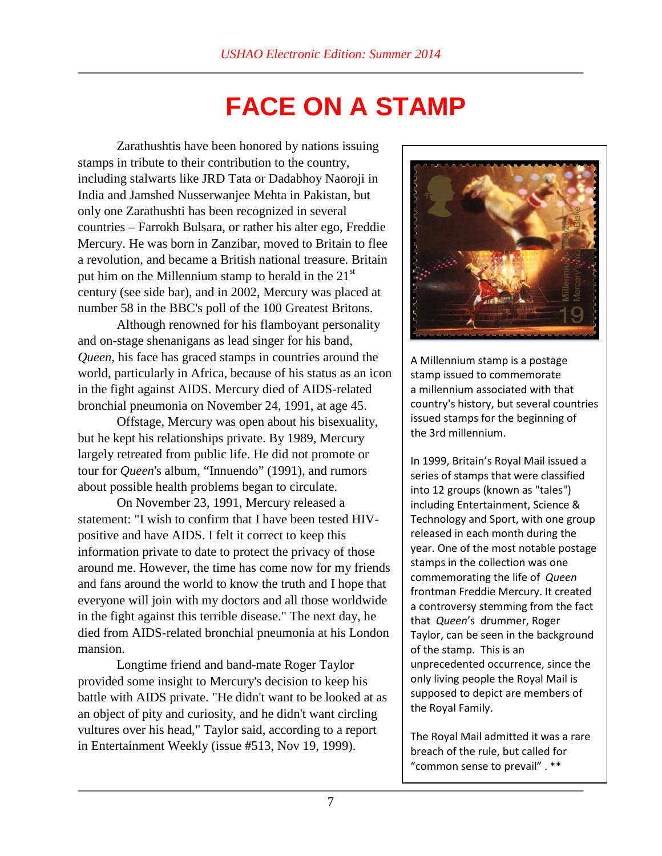## **FACE ON A STAMP**

Zarathushtis have been honored by nations issuing stamps in tribute to their contribution to the country, including stalwarts like JRD Tata or Dadabhoy Naoroji in India and Jamshed Nusserwanjee Mehta in Pakistan, but only one Zarathushti has been recognized in several countries – Farrokh Bulsara, or rather his alter ego, Freddie Mercury. He was born in Zanzibar, moved to Britain to flee a revolution, and became a British national treasure. Britain put him on the Millennium stamp to herald in the  $21<sup>st</sup>$ century (see side bar), and in 2002, Mercury was placed at number 58 in the BBC's poll of the 100 Greatest Britons.

Although renowned for his flamboyant personality and on-stage shenanigans as lead singer for his band, *Queen*, his face has graced stamps in countries around the world, particularly in Africa, because of his status as an icon in the fight against AIDS. Mercury died of AIDS-related bronchial pneumonia on November 24, 1991, at age 45.

Offstage, Mercury was open about his bisexuality, but he kept his relationships private. By 1989, Mercury largely retreated from public life. He did not promote or tour for *Queen*'s album, "Innuendo" (1991), and rumors about possible health problems began to circulate.

On November 23, 1991, Mercury released a statement: "I wish to confirm that I have been tested HIVpositive and have AIDS. I felt it correct to keep this information private to date to protect the privacy of those around me. However, the time has come now for my friends and fans around the world to know the truth and I hope that everyone will join with my doctors and all those worldwide in the fight against this terrible disease." The next day, he died from AIDS-related bronchial pneumonia at his London mansion.

Longtime friend and band-mate Roger Taylor provided some insight to Mercury's decision to keep his battle with AIDS private. "He didn't want to be looked at as an object of pity and curiosity, and he didn't want circling vultures over his head," Taylor said, according to a report in Entertainment Weekly (issue #513, Nov 19, 1999).



A Millennium stamp is a postage stamp issued to commemorate a millennium associated with that country's history, but several countries issued stamps for the beginning of the 3rd millennium.

In 1999, Britain's Royal Mail issued a series of stamps that were classified into 12 groups (known as "tales") including Entertainment, Science & Technology and Sport, with one group released in each month during the year. One of the most notable postage stamps in the collection was one commemorating the life of *Queen* frontman Freddie Mercury. It created a controversy stemming from the fact that *Queen*'s drummer, Roger Taylor, can be seen in the background of the stamp. This is an unprecedented occurrence, since the only living people the Royal Mail is supposed to depict are members of the Royal Family.

The Royal Mail admitted it was a rare breach of the rule, but called for "common sense to prevail" . \*\*